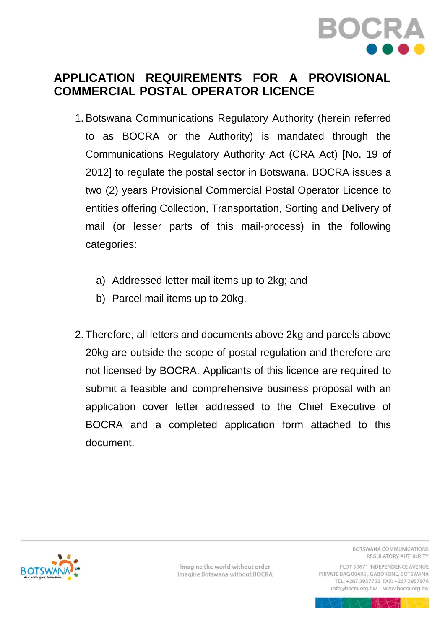

### **APPLICATION REQUIREMENTS FOR A PROVISIONAL COMMERCIAL POSTAL OPERATOR LICENCE**

- 1. Botswana Communications Regulatory Authority (herein referred to as BOCRA or the Authority) is mandated through the Communications Regulatory Authority Act (CRA Act) [No. 19 of 2012] to regulate the postal sector in Botswana. BOCRA issues a two (2) years Provisional Commercial Postal Operator Licence to entities offering Collection, Transportation, Sorting and Delivery of mail (or lesser parts of this mail-process) in the following categories:
	- a) Addressed letter mail items up to 2kg; and
	- b) Parcel mail items up to 20kg.
- 2. Therefore, all letters and documents above 2kg and parcels above 20kg are outside the scope of postal regulation and therefore are not licensed by BOCRA. Applicants of this licence are required to submit a feasible and comprehensive business proposal with an application cover letter addressed to the Chief Executive of BOCRA and a completed application form attached to this document.



Imagine the world without order Imagine Botswana without BOCRA BOTSWANA COMMUNICATIONS REGULATORY AUTHORITY

PLOT 50671 INDEPENDENCE AVENUE PRIVATE BAG 00495, GABORONE, BOTSWANA TEL: +267 3957755 FAX: +267 3957976 info@bocra.org.bw | www.bocra.org.bw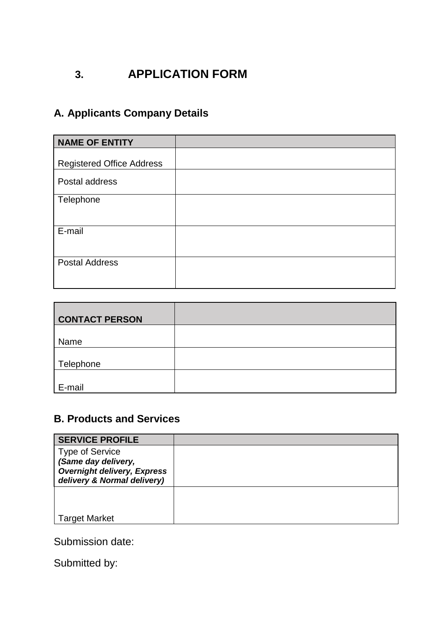# **3. APPLICATION FORM**

# **A. Applicants Company Details**

| <b>NAME OF ENTITY</b>            |  |
|----------------------------------|--|
|                                  |  |
| <b>Registered Office Address</b> |  |
| Postal address                   |  |
| Telephone                        |  |
| E-mail                           |  |
| <b>Postal Address</b>            |  |

| <b>CONTACT PERSON</b> |  |
|-----------------------|--|
| Name                  |  |
| Telephone             |  |
| E-mail                |  |

### **B. Products and Services**

| <b>SERVICE PROFILE</b>                                                                                             |  |
|--------------------------------------------------------------------------------------------------------------------|--|
| <b>Type of Service</b><br>(Same day delivery,<br><b>Overnight delivery, Express</b><br>delivery & Normal delivery) |  |
|                                                                                                                    |  |
| <b>Target Market</b>                                                                                               |  |

Submission date:

Submitted by: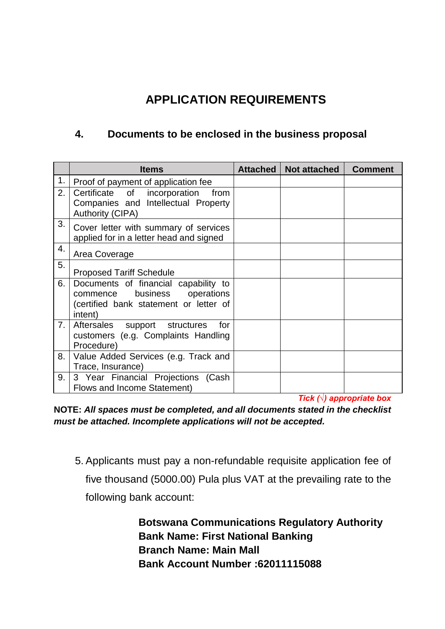# **APPLICATION REQUIREMENTS**

#### **4. Documents to be enclosed in the business proposal**

|    | <b>Items</b>                                                                                                              | Attached | Not attached | <b>Comment</b> |
|----|---------------------------------------------------------------------------------------------------------------------------|----------|--------------|----------------|
| 1. | Proof of payment of application fee                                                                                       |          |              |                |
| 2. | Certificate of incorporation<br>from<br>Companies and Intellectual Property<br><b>Authority (CIPA)</b>                    |          |              |                |
| 3. | Cover letter with summary of services<br>applied for in a letter head and signed                                          |          |              |                |
| 4. | Area Coverage                                                                                                             |          |              |                |
| 5. | <b>Proposed Tariff Schedule</b>                                                                                           |          |              |                |
| 6. | Documents of financial capability to<br>commence business operations<br>(certified bank statement or letter of<br>intent) |          |              |                |
| 7. | Aftersales support structures<br>for<br>customers (e.g. Complaints Handling<br>Procedure)                                 |          |              |                |
| 8. | Value Added Services (e.g. Track and<br>Trace, Insurance)                                                                 |          |              |                |
| 9. | 3 Year Financial Projections (Cash<br>Flows and Income Statement)                                                         |          |              |                |

*Tick (√) appropriate box*

**NOTE:** *All spaces must be completed, and all documents stated in the checklist must be attached. Incomplete applications will not be accepted.*

5. Applicants must pay a non-refundable requisite application fee of five thousand (5000.00) Pula plus VAT at the prevailing rate to the following bank account:

> **Botswana Communications Regulatory Authority Bank Name: First National Banking Branch Name: Main Mall Bank Account Number :62011115088**